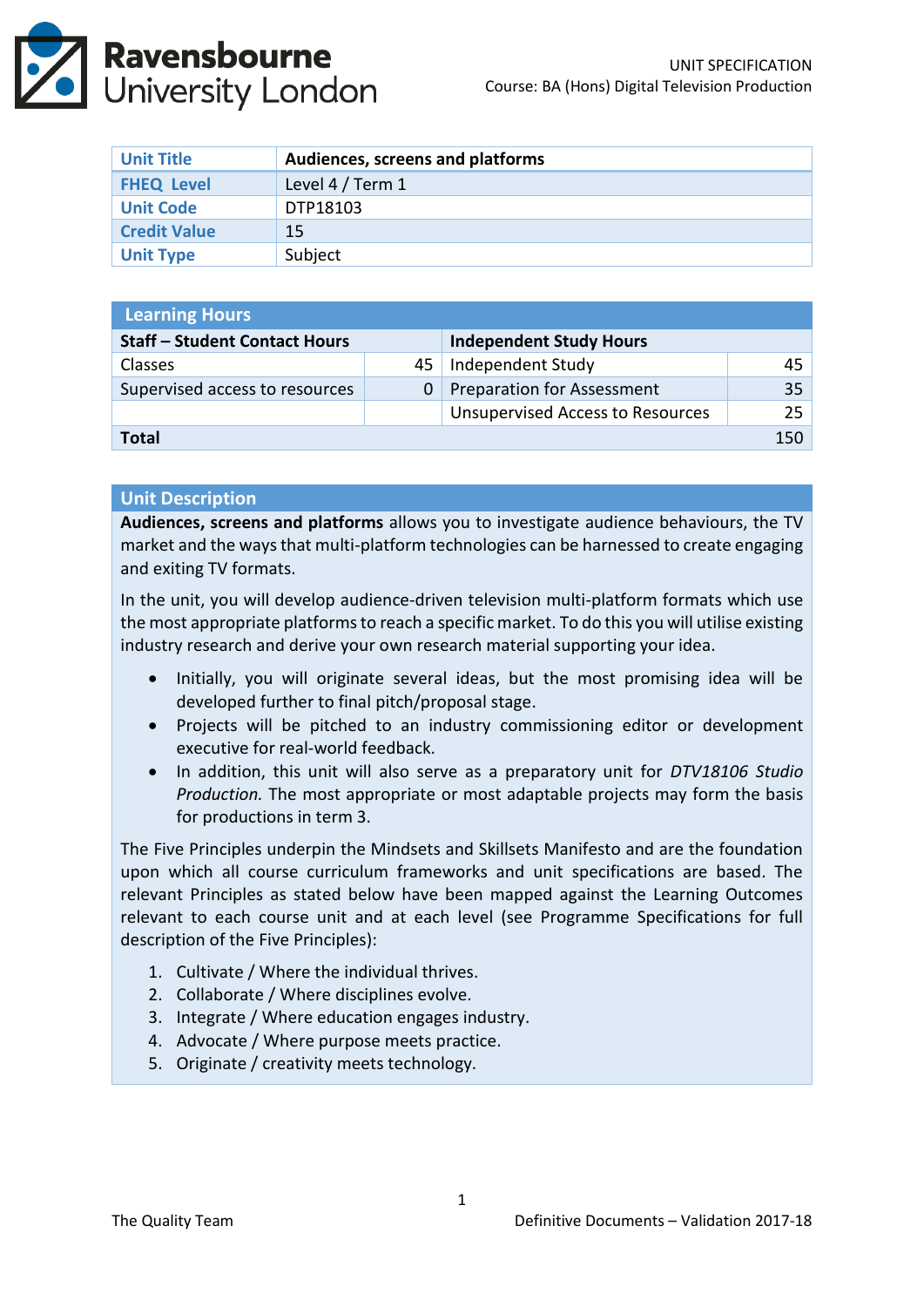

| <b>Unit Title</b>   | Audiences, screens and platforms |
|---------------------|----------------------------------|
| <b>FHEQ Level</b>   | Level 4 / Term 1                 |
| <b>Unit Code</b>    | DTP18103                         |
| <b>Credit Value</b> | 15                               |
| <b>Unit Type</b>    | Subject                          |

| <b>Learning Hours</b>                |    |                                         |                 |  |  |
|--------------------------------------|----|-----------------------------------------|-----------------|--|--|
| <b>Staff - Student Contact Hours</b> |    | <b>Independent Study Hours</b>          |                 |  |  |
| <b>Classes</b>                       | 45 | Independent Study                       | 45              |  |  |
| Supervised access to resources       |    | <b>Preparation for Assessment</b>       | 35 <sub>1</sub> |  |  |
|                                      |    | <b>Unsupervised Access to Resources</b> | 25 <sub>1</sub> |  |  |
| Total                                |    |                                         |                 |  |  |

#### **Unit Description**

**Audiences, screens and platforms** allows you to investigate audience behaviours, the TV market and the ways that multi-platform technologies can be harnessed to create engaging and exiting TV formats.

In the unit, you will develop audience-driven television multi-platform formats which use the most appropriate platforms to reach a specific market. To do this you will utilise existing industry research and derive your own research material supporting your idea.

- Initially, you will originate several ideas, but the most promising idea will be developed further to final pitch/proposal stage.
- Projects will be pitched to an industry commissioning editor or development executive for real-world feedback.
- In addition, this unit will also serve as a preparatory unit for *DTV18106 Studio Production.* The most appropriate or most adaptable projects may form the basis for productions in term 3.

The Five Principles underpin the Mindsets and Skillsets Manifesto and are the foundation upon which all course curriculum frameworks and unit specifications are based. The relevant Principles as stated below have been mapped against the Learning Outcomes relevant to each course unit and at each level (see Programme Specifications for full description of the Five Principles):

- 1. Cultivate / Where the individual thrives.
- 2. Collaborate / Where disciplines evolve.
- 3. Integrate / Where education engages industry.
- 4. Advocate / Where purpose meets practice.
- 5. Originate / creativity meets technology.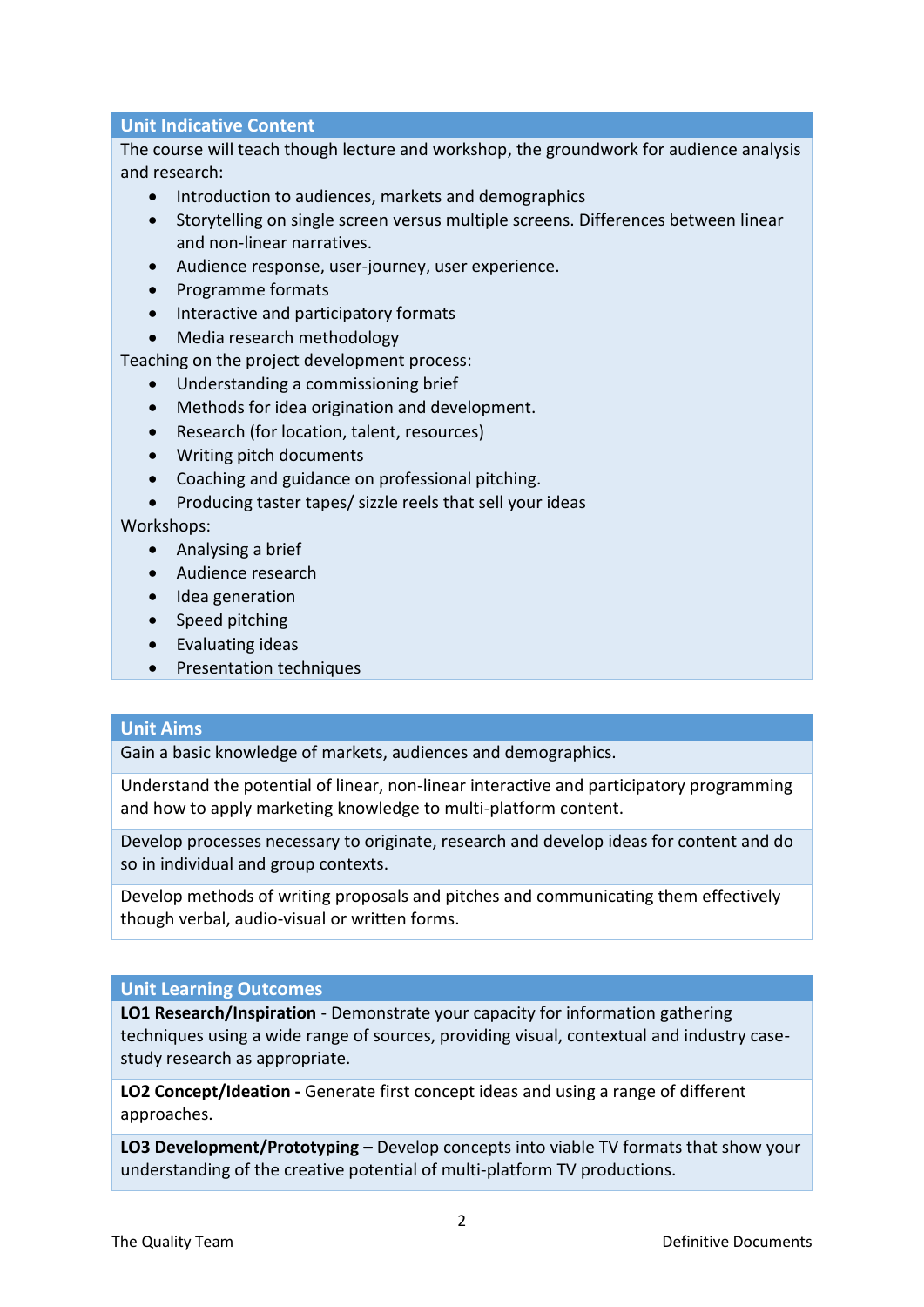# **Unit Indicative Content**

The course will teach though lecture and workshop, the groundwork for audience analysis and research:

- Introduction to audiences, markets and demographics
- Storytelling on single screen versus multiple screens. Differences between linear and non-linear narratives.
- Audience response, user-journey, user experience.
- Programme formats
- Interactive and participatory formats
- Media research methodology

Teaching on the project development process:

- Understanding a commissioning brief
- Methods for idea origination and development.
- Research (for location, talent, resources)
- Writing pitch documents
- Coaching and guidance on professional pitching.
- Producing taster tapes/ sizzle reels that sell your ideas

Workshops:

- Analysing a brief
- Audience research
- Idea generation
- Speed pitching
- Evaluating ideas
- Presentation techniques

## **Unit Aims**

Gain a basic knowledge of markets, audiences and demographics.

Understand the potential of linear, non-linear interactive and participatory programming and how to apply marketing knowledge to multi-platform content.

Develop processes necessary to originate, research and develop ideas for content and do so in individual and group contexts.

Develop methods of writing proposals and pitches and communicating them effectively though verbal, audio-visual or written forms.

## **Unit Learning Outcomes**

**LO1 Research/Inspiration** - Demonstrate your capacity for information gathering techniques using a wide range of sources, providing visual, contextual and industry casestudy research as appropriate.

**LO2 Concept/Ideation -** Generate first concept ideas and using a range of different approaches.

**LO3 Development/Prototyping –** Develop concepts into viable TV formats that show your understanding of the creative potential of multi-platform TV productions.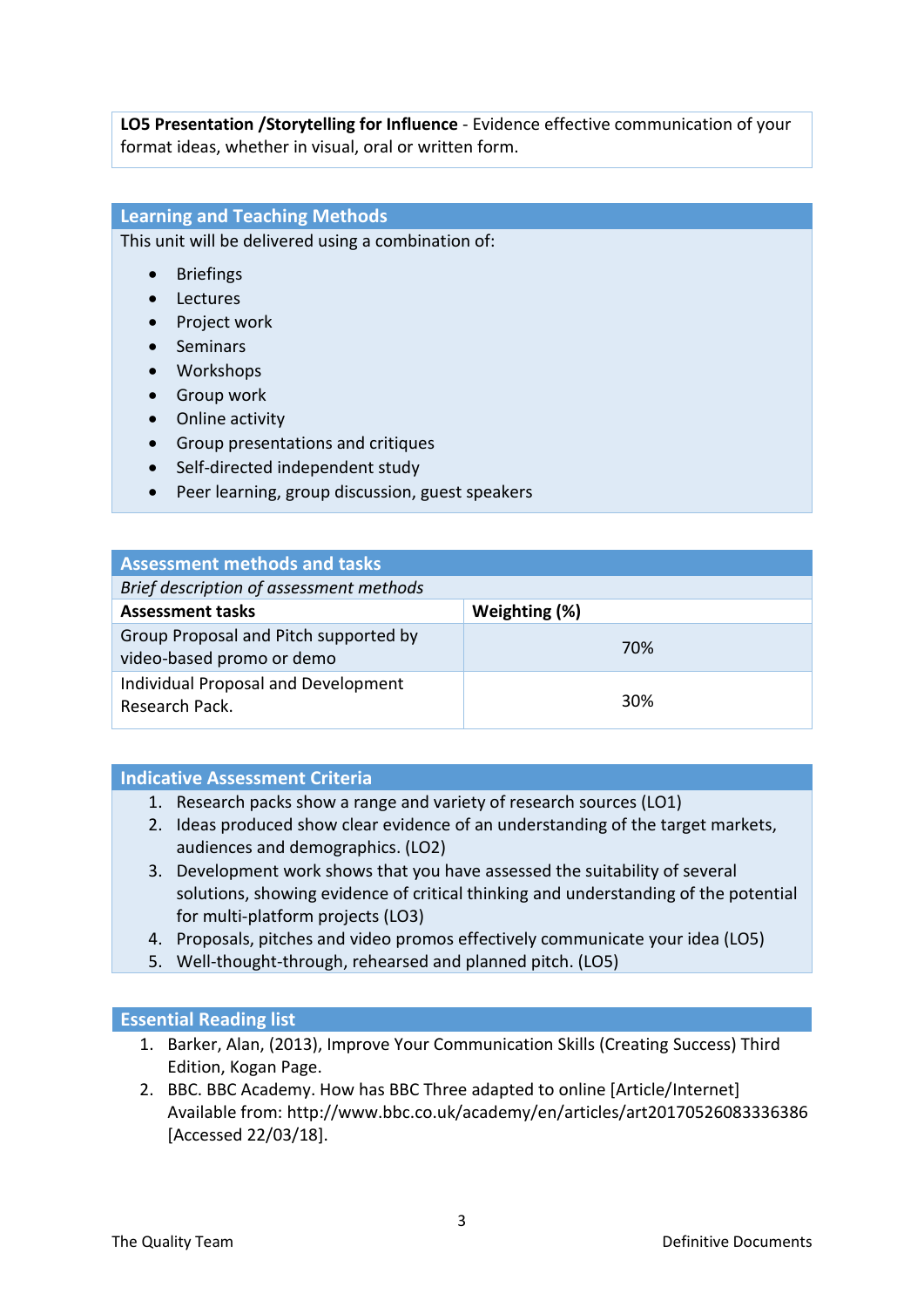**LO5 Presentation /Storytelling for Influence** - Evidence effective communication of your format ideas, whether in visual, oral or written form.

## **Learning and Teaching Methods**

This unit will be delivered using a combination of:

- Briefings
- Lectures
- Project work
- Seminars
- Workshops
- Group work
- Online activity
- Group presentations and critiques
- Self-directed independent study
- Peer learning, group discussion, guest speakers

| <b>Assessment methods and tasks</b>                                |               |  |  |
|--------------------------------------------------------------------|---------------|--|--|
| Brief description of assessment methods                            |               |  |  |
| <b>Assessment tasks</b>                                            | Weighting (%) |  |  |
| Group Proposal and Pitch supported by<br>video-based promo or demo | 70%           |  |  |
| Individual Proposal and Development<br>Research Pack.              | 30%           |  |  |

## **Indicative Assessment Criteria**

- 1. Research packs show a range and variety of research sources (LO1)
- 2. Ideas produced show clear evidence of an understanding of the target markets, audiences and demographics. (LO2)
- 3. Development work shows that you have assessed the suitability of several solutions, showing evidence of critical thinking and understanding of the potential for multi-platform projects (LO3)
- 4. Proposals, pitches and video promos effectively communicate your idea (LO5)
- 5. Well-thought-through, rehearsed and planned pitch. (LO5)

## **Essential Reading list**

- 1. Barker, Alan, (2013), Improve Your Communication Skills (Creating Success) Third Edition, Kogan Page.
- 2. BBC. BBC Academy. How has BBC Three adapted to online [Article/Internet] Available from: http://www.bbc.co.uk/academy/en/articles/art20170526083336386 [Accessed 22/03/18].